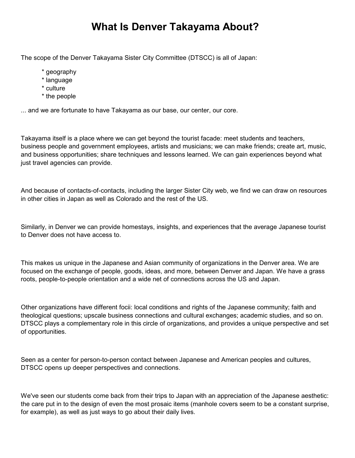## **What Is Denver Takayama About?**

The scope of the Denver Takayama Sister City Committee (DTSCC) is all of Japan:

- \* geography
- \* language
- \* culture
- \* the people

... and we are fortunate to have Takayama as our base, our center, our core.

Takayama itself is a place where we can get beyond the tourist facade: meet students and teachers, business people and government employees, artists and musicians; we can make friends; create art, music, and business opportunities; share techniques and lessons learned. We can gain experiences beyond what just travel agencies can provide.

And because of contacts-of-contacts, including the larger Sister City web, we find we can draw on resources in other cities in Japan as well as Colorado and the rest of the US.

Similarly, in Denver we can provide homestays, insights, and experiences that the average Japanese tourist to Denver does not have access to.

This makes us unique in the Japanese and Asian community of organizations in the Denver area. We are focused on the exchange of people, goods, ideas, and more, between Denver and Japan. We have a grass roots, people-to-people orientation and a wide net of connections across the US and Japan.

Other organizations have different focii: local conditions and rights of the Japanese community; faith and theological questions; upscale business connections and cultural exchanges; academic studies, and so on. DTSCC plays a complementary role in this circle of organizations, and provides a unique perspective and set of opportunities.

Seen as a center for person-to-person contact between Japanese and American peoples and cultures, DTSCC opens up deeper perspectives and connections.

We've seen our students come back from their trips to Japan with an appreciation of the Japanese aesthetic: the care put in to the design of even the most prosaic items (manhole covers seem to be a constant surprise, for example), as well as just ways to go about their daily lives.